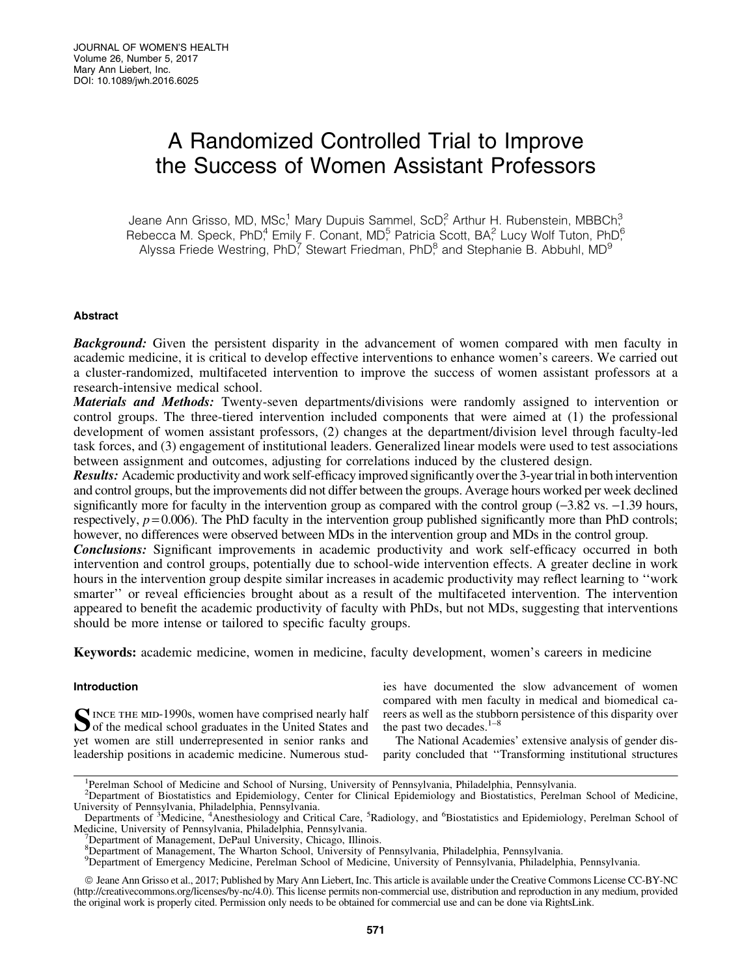# A Randomized Controlled Trial to Improve the Success of Women Assistant Professors

Jeane Ann Grisso, MD, MSc,<sup>1</sup> Mary Dupuis Sammel, ScD,<sup>2</sup> Arthur H. Rubenstein, MBBCh,<sup>3</sup> Rebecca M. Speck, PhD,<sup>4</sup> Emily F. Conant, MD,<sup>5</sup> Patricia Scott, BA,<sup>2</sup> Lucy Wolf Tuton, PhD,<sup>6</sup> Alyssa Friede Westring, PhD<sup>7</sup>, Stewart Friedman, PhD $^8$  and Stephanie B. Abbuhl, MD $^9$ 

## Abstract

**Background:** Given the persistent disparity in the advancement of women compared with men faculty in academic medicine, it is critical to develop effective interventions to enhance women's careers. We carried out a cluster-randomized, multifaceted intervention to improve the success of women assistant professors at a research-intensive medical school.

**Materials and Methods:** Twenty-seven departments/divisions were randomly assigned to intervention or control groups. The three-tiered intervention included components that were aimed at (1) the professional development of women assistant professors, (2) changes at the department/division level through faculty-led task forces, and (3) engagement of institutional leaders. Generalized linear models were used to test associations between assignment and outcomes, adjusting for correlations induced by the clustered design.

Results: Academic productivity and work self-efficacy improved significantly over the 3-year trial in both intervention and control groups, but the improvements did not differ between the groups. Average hours worked per week declined significantly more for faculty in the intervention group as compared with the control group  $(-3.82 \text{ vs. } -1.39 \text{ hours})$ , respectively,  $p = 0.006$ ). The PhD faculty in the intervention group published significantly more than PhD controls; however, no differences were observed between MDs in the intervention group and MDs in the control group.

Conclusions: Significant improvements in academic productivity and work self-efficacy occurred in both intervention and control groups, potentially due to school-wide intervention effects. A greater decline in work hours in the intervention group despite similar increases in academic productivity may reflect learning to ''work smarter'' or reveal efficiencies brought about as a result of the multifaceted intervention. The intervention appeared to benefit the academic productivity of faculty with PhDs, but not MDs, suggesting that interventions should be more intense or tailored to specific faculty groups.

Keywords: academic medicine, women in medicine, faculty development, women's careers in medicine

## Introduction

SINCE THE MID-1990s, women have comprised nearly half of the medical school graduates in the United States and yet women are still underrepresented in senior ranks and leadership positions in academic medicine. Numerous studies have documented the slow advancement of women compared with men faculty in medical and biomedical careers as well as the stubborn persistence of this disparity over the past two decades. $1-8$ 

The National Academies' extensive analysis of gender disparity concluded that ''Transforming institutional structures

<sup>2</sup>Department of Biostatistics and Epidemiology, Center for Clinical Epidemiology and Biostatistics, Perelman School of Medicine, University of Pennsylvania, Philadelphia, Pennsylvania.<br>Departments of <sup>3</sup>Medicine, <sup>4</sup>Anesthesiology and Critical Care, <sup>5</sup>Radiology, and <sup>6</sup>Biostatistics and Epidemiology, Perelman School of

<sup>&</sup>lt;sup>1</sup>Perelman School of Medicine and School of Nursing, University of Pennsylvania, Philadelphia, Pennsylvania.

Medicine, University of Pennsylvania, Philadelphia, Pennsylvania. <sup>7</sup>

Department of Management, DePaul University, Chicago, Illinois.

<sup>&</sup>lt;sup>8</sup> Department of Management, The Wharton School, University of Pennsylvania, Philadelphia, Pennsylvania.

<sup>9</sup> Department of Emergency Medicine, Perelman School of Medicine, University of Pennsylvania, Philadelphia, Pennsylvania.

ª Jeane Ann Grisso et al., 2017; Published by Mary Ann Liebert, Inc. This article is available under the Creative Commons License CC-BY-NC (http://creativecommons.org/licenses/by-nc/4.0). This license permits non-commercial use, distribution and reproduction in any medium, provided the original work is properly cited. Permission only needs to be obtained for commercial use and can be done via RightsLink.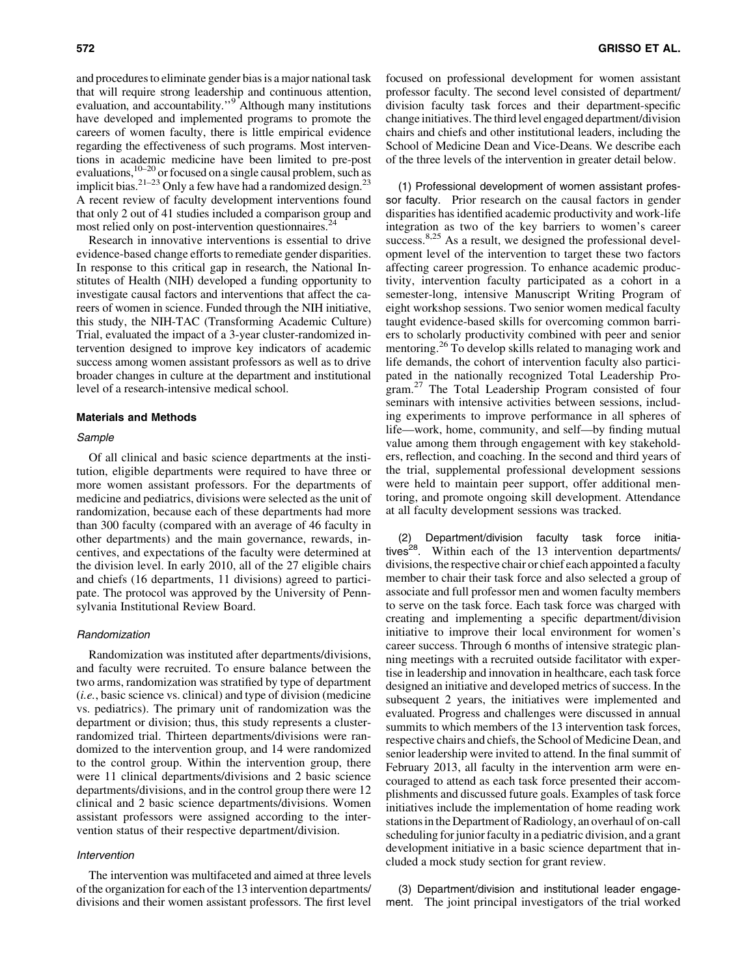and procedures to eliminate gender bias is a major national task that will require strong leadership and continuous attention, evaluation, and accountability."<sup>9</sup> Although many institutions have developed and implemented programs to promote the careers of women faculty, there is little empirical evidence regarding the effectiveness of such programs. Most interventions in academic medicine have been limited to pre-post evaluations,  $10-20$  or focused on a single causal problem, such as implicit bias.<sup>21–23</sup> Only a few have had a randomized design.<sup>23</sup> A recent review of faculty development interventions found that only 2 out of 41 studies included a comparison group and most relied only on post-intervention questionnaires.<sup>24</sup>

Research in innovative interventions is essential to drive evidence-based change efforts to remediate gender disparities. In response to this critical gap in research, the National Institutes of Health (NIH) developed a funding opportunity to investigate causal factors and interventions that affect the careers of women in science. Funded through the NIH initiative, this study, the NIH-TAC (Transforming Academic Culture) Trial, evaluated the impact of a 3-year cluster-randomized intervention designed to improve key indicators of academic success among women assistant professors as well as to drive broader changes in culture at the department and institutional level of a research-intensive medical school.

## Materials and Methods

#### Sample

Of all clinical and basic science departments at the institution, eligible departments were required to have three or more women assistant professors. For the departments of medicine and pediatrics, divisions were selected as the unit of randomization, because each of these departments had more than 300 faculty (compared with an average of 46 faculty in other departments) and the main governance, rewards, incentives, and expectations of the faculty were determined at the division level. In early 2010, all of the 27 eligible chairs and chiefs (16 departments, 11 divisions) agreed to participate. The protocol was approved by the University of Pennsylvania Institutional Review Board.

#### Randomization

Randomization was instituted after departments/divisions, and faculty were recruited. To ensure balance between the two arms, randomization was stratified by type of department (*i.e.*, basic science vs. clinical) and type of division (medicine vs. pediatrics). The primary unit of randomization was the department or division; thus, this study represents a clusterrandomized trial. Thirteen departments/divisions were randomized to the intervention group, and 14 were randomized to the control group. Within the intervention group, there were 11 clinical departments/divisions and 2 basic science departments/divisions, and in the control group there were 12 clinical and 2 basic science departments/divisions. Women assistant professors were assigned according to the intervention status of their respective department/division.

#### Intervention

The intervention was multifaceted and aimed at three levels of the organization for each of the 13 intervention departments/ divisions and their women assistant professors. The first level focused on professional development for women assistant professor faculty. The second level consisted of department/ division faculty task forces and their department-specific change initiatives. The third level engaged department/division chairs and chiefs and other institutional leaders, including the School of Medicine Dean and Vice-Deans. We describe each of the three levels of the intervention in greater detail below.

(1) Professional development of women assistant professor faculty. Prior research on the causal factors in gender disparities has identified academic productivity and work-life integration as two of the key barriers to women's career success.<sup>8,25</sup> As a result, we designed the professional development level of the intervention to target these two factors affecting career progression. To enhance academic productivity, intervention faculty participated as a cohort in a semester-long, intensive Manuscript Writing Program of eight workshop sessions. Two senior women medical faculty taught evidence-based skills for overcoming common barriers to scholarly productivity combined with peer and senior mentoring.<sup>26</sup> To develop skills related to managing work and life demands, the cohort of intervention faculty also participated in the nationally recognized Total Leadership Program.<sup>27</sup> The Total Leadership Program consisted of four seminars with intensive activities between sessions, including experiments to improve performance in all spheres of life—work, home, community, and self—by finding mutual value among them through engagement with key stakeholders, reflection, and coaching. In the second and third years of the trial, supplemental professional development sessions were held to maintain peer support, offer additional mentoring, and promote ongoing skill development. Attendance at all faculty development sessions was tracked.

Department/division faculty task force initiatives<sup>28</sup>. Within each of the 13 intervention departments/ divisions, the respective chair or chief each appointed a faculty member to chair their task force and also selected a group of associate and full professor men and women faculty members to serve on the task force. Each task force was charged with creating and implementing a specific department/division initiative to improve their local environment for women's career success. Through 6 months of intensive strategic planning meetings with a recruited outside facilitator with expertise in leadership and innovation in healthcare, each task force designed an initiative and developed metrics of success. In the subsequent 2 years, the initiatives were implemented and evaluated. Progress and challenges were discussed in annual summits to which members of the 13 intervention task forces, respective chairs and chiefs, the School of Medicine Dean, and senior leadership were invited to attend. In the final summit of February 2013, all faculty in the intervention arm were encouraged to attend as each task force presented their accomplishments and discussed future goals. Examples of task force initiatives include the implementation of home reading work stations in the Department of Radiology, an overhaul of on-call scheduling for junior faculty in a pediatric division, and a grant development initiative in a basic science department that included a mock study section for grant review.

(3) Department/division and institutional leader engagement. The joint principal investigators of the trial worked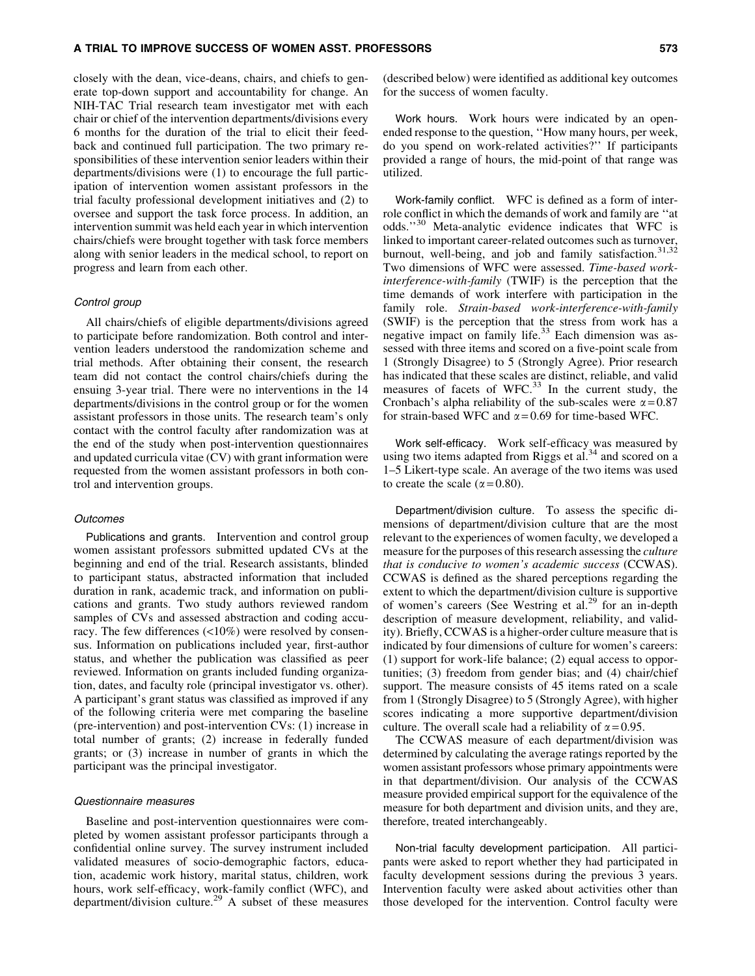closely with the dean, vice-deans, chairs, and chiefs to generate top-down support and accountability for change. An NIH-TAC Trial research team investigator met with each chair or chief of the intervention departments/divisions every 6 months for the duration of the trial to elicit their feedback and continued full participation. The two primary responsibilities of these intervention senior leaders within their departments/divisions were (1) to encourage the full participation of intervention women assistant professors in the trial faculty professional development initiatives and (2) to oversee and support the task force process. In addition, an intervention summit was held each year in which intervention chairs/chiefs were brought together with task force members along with senior leaders in the medical school, to report on progress and learn from each other.

## Control group

All chairs/chiefs of eligible departments/divisions agreed to participate before randomization. Both control and intervention leaders understood the randomization scheme and trial methods. After obtaining their consent, the research team did not contact the control chairs/chiefs during the ensuing 3-year trial. There were no interventions in the 14 departments/divisions in the control group or for the women assistant professors in those units. The research team's only contact with the control faculty after randomization was at the end of the study when post-intervention questionnaires and updated curricula vitae (CV) with grant information were requested from the women assistant professors in both control and intervention groups.

## **Outcomes**

Publications and grants. Intervention and control group women assistant professors submitted updated CVs at the beginning and end of the trial. Research assistants, blinded to participant status, abstracted information that included duration in rank, academic track, and information on publications and grants. Two study authors reviewed random samples of CVs and assessed abstraction and coding accuracy. The few differences (<10%) were resolved by consensus. Information on publications included year, first-author status, and whether the publication was classified as peer reviewed. Information on grants included funding organization, dates, and faculty role (principal investigator vs. other). A participant's grant status was classified as improved if any of the following criteria were met comparing the baseline (pre-intervention) and post-intervention CVs: (1) increase in total number of grants; (2) increase in federally funded grants; or (3) increase in number of grants in which the participant was the principal investigator.

## Questionnaire measures

Baseline and post-intervention questionnaires were completed by women assistant professor participants through a confidential online survey. The survey instrument included validated measures of socio-demographic factors, education, academic work history, marital status, children, work hours, work self-efficacy, work-family conflict (WFC), and department/division culture.<sup>29</sup> A subset of these measures (described below) were identified as additional key outcomes for the success of women faculty.

Work hours. Work hours were indicated by an openended response to the question, ''How many hours, per week, do you spend on work-related activities?'' If participants provided a range of hours, the mid-point of that range was utilized.

Work-family conflict. WFC is defined as a form of interrole conflict in which the demands of work and family are ''at odds.''<sup>30</sup> Meta-analytic evidence indicates that WFC is linked to important career-related outcomes such as turnover, burnout, well-being, and job and family satisfaction.<sup>31,32</sup> Two dimensions of WFC were assessed. *Time-based workinterference-with-family* (TWIF) is the perception that the time demands of work interfere with participation in the family role. *Strain-based work-interference-with-family* (SWIF) is the perception that the stress from work has a negative impact on family life.<sup>33</sup> Each dimension was assessed with three items and scored on a five-point scale from 1 (Strongly Disagree) to 5 (Strongly Agree). Prior research has indicated that these scales are distinct, reliable, and valid measures of facets of WFC.<sup>33</sup> In the current study, the Cronbach's alpha reliability of the sub-scales were  $\alpha = 0.87$ for strain-based WFC and  $\alpha = 0.69$  for time-based WFC.

Work self-efficacy. Work self-efficacy was measured by using two items adapted from Riggs et al. $34$  and scored on a 1–5 Likert-type scale. An average of the two items was used to create the scale ( $\alpha$  = 0.80).

Department/division culture. To assess the specific dimensions of department/division culture that are the most relevant to the experiences of women faculty, we developed a measure for the purposes of this research assessing the *culture that is conducive to women's academic success* (CCWAS). CCWAS is defined as the shared perceptions regarding the extent to which the department/division culture is supportive of women's careers (See Westring et al.<sup>29</sup> for an in-depth description of measure development, reliability, and validity). Briefly, CCWAS is a higher-order culture measure that is indicated by four dimensions of culture for women's careers: (1) support for work-life balance; (2) equal access to opportunities; (3) freedom from gender bias; and (4) chair/chief support. The measure consists of 45 items rated on a scale from 1 (Strongly Disagree) to 5 (Strongly Agree), with higher scores indicating a more supportive department/division culture. The overall scale had a reliability of  $\alpha = 0.95$ .

The CCWAS measure of each department/division was determined by calculating the average ratings reported by the women assistant professors whose primary appointments were in that department/division. Our analysis of the CCWAS measure provided empirical support for the equivalence of the measure for both department and division units, and they are, therefore, treated interchangeably.

Non-trial faculty development participation. All participants were asked to report whether they had participated in faculty development sessions during the previous 3 years. Intervention faculty were asked about activities other than those developed for the intervention. Control faculty were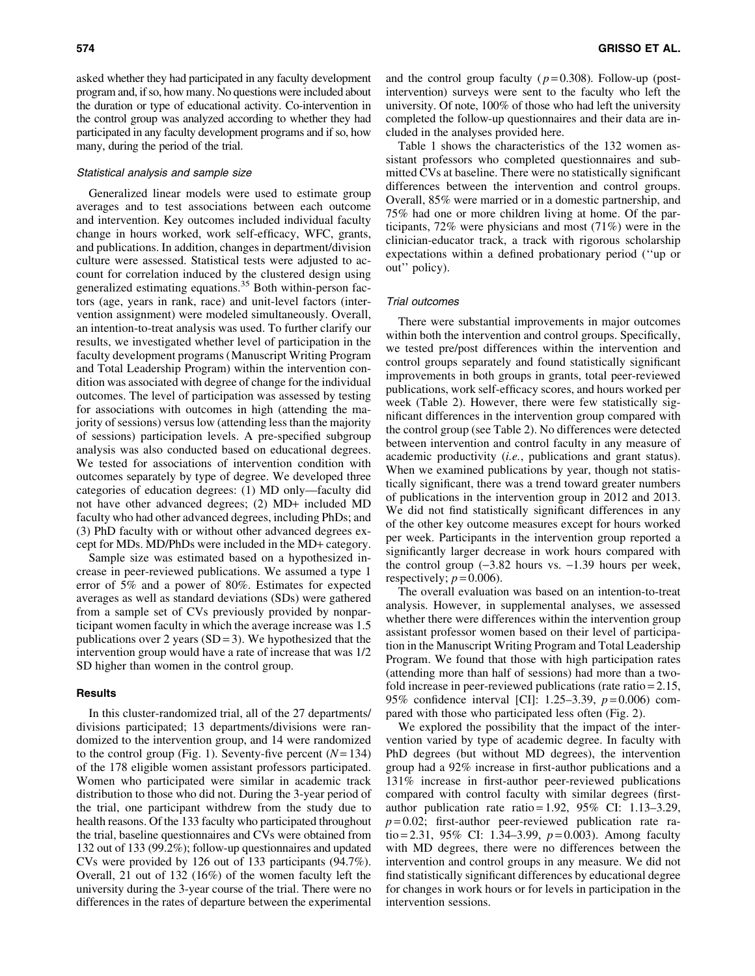asked whether they had participated in any faculty development program and, if so, how many. No questions were included about the duration or type of educational activity. Co-intervention in the control group was analyzed according to whether they had participated in any faculty development programs and if so, how many, during the period of the trial.

#### Statistical analysis and sample size

Generalized linear models were used to estimate group averages and to test associations between each outcome and intervention. Key outcomes included individual faculty change in hours worked, work self-efficacy, WFC, grants, and publications. In addition, changes in department/division culture were assessed. Statistical tests were adjusted to account for correlation induced by the clustered design using generalized estimating equations.<sup>35</sup> Both within-person factors (age, years in rank, race) and unit-level factors (intervention assignment) were modeled simultaneously. Overall, an intention-to-treat analysis was used. To further clarify our results, we investigated whether level of participation in the faculty development programs (Manuscript Writing Program and Total Leadership Program) within the intervention condition was associated with degree of change for the individual outcomes. The level of participation was assessed by testing for associations with outcomes in high (attending the majority of sessions) versus low (attending less than the majority of sessions) participation levels. A pre-specified subgroup analysis was also conducted based on educational degrees. We tested for associations of intervention condition with outcomes separately by type of degree. We developed three categories of education degrees: (1) MD only—faculty did not have other advanced degrees; (2) MD+ included MD faculty who had other advanced degrees, including PhDs; and (3) PhD faculty with or without other advanced degrees except for MDs. MD/PhDs were included in the MD+ category.

Sample size was estimated based on a hypothesized increase in peer-reviewed publications. We assumed a type 1 error of 5% and a power of 80%. Estimates for expected averages as well as standard deviations (SDs) were gathered from a sample set of CVs previously provided by nonparticipant women faculty in which the average increase was 1.5 publications over 2 years  $(SD=3)$ . We hypothesized that the intervention group would have a rate of increase that was 1/2 SD higher than women in the control group.

## **Results**

In this cluster-randomized trial, all of the 27 departments/ divisions participated; 13 departments/divisions were randomized to the intervention group, and 14 were randomized to the control group (Fig. 1). Seventy-five percent  $(N=134)$ of the 178 eligible women assistant professors participated. Women who participated were similar in academic track distribution to those who did not. During the 3-year period of the trial, one participant withdrew from the study due to health reasons. Of the 133 faculty who participated throughout the trial, baseline questionnaires and CVs were obtained from 132 out of 133 (99.2%); follow-up questionnaires and updated CVs were provided by 126 out of 133 participants (94.7%). Overall, 21 out of 132 (16%) of the women faculty left the university during the 3-year course of the trial. There were no differences in the rates of departure between the experimental and the control group faculty ( $p=0.308$ ). Follow-up (postintervention) surveys were sent to the faculty who left the university. Of note, 100% of those who had left the university completed the follow-up questionnaires and their data are included in the analyses provided here.

Table 1 shows the characteristics of the 132 women assistant professors who completed questionnaires and submitted CVs at baseline. There were no statistically significant differences between the intervention and control groups. Overall, 85% were married or in a domestic partnership, and 75% had one or more children living at home. Of the participants, 72% were physicians and most (71%) were in the clinician-educator track, a track with rigorous scholarship expectations within a defined probationary period (''up or out'' policy).

## Trial outcomes

There were substantial improvements in major outcomes within both the intervention and control groups. Specifically, we tested pre/post differences within the intervention and control groups separately and found statistically significant improvements in both groups in grants, total peer-reviewed publications, work self-efficacy scores, and hours worked per week (Table 2). However, there were few statistically significant differences in the intervention group compared with the control group (see Table 2). No differences were detected between intervention and control faculty in any measure of academic productivity (*i.e.*, publications and grant status). When we examined publications by year, though not statistically significant, there was a trend toward greater numbers of publications in the intervention group in 2012 and 2013. We did not find statistically significant differences in any of the other key outcome measures except for hours worked per week. Participants in the intervention group reported a significantly larger decrease in work hours compared with the control group  $(-3.82$  hours vs.  $-1.39$  hours per week, respectively;  $p = 0.006$ ).

The overall evaluation was based on an intention-to-treat analysis. However, in supplemental analyses, we assessed whether there were differences within the intervention group assistant professor women based on their level of participation in the Manuscript Writing Program and Total Leadership Program. We found that those with high participation rates (attending more than half of sessions) had more than a twofold increase in peer-reviewed publications (rate ratio = 2.15, 95% confidence interval [CI]: 1.25–3.39, *p* = 0.006) compared with those who participated less often (Fig. 2).

We explored the possibility that the impact of the intervention varied by type of academic degree. In faculty with PhD degrees (but without MD degrees), the intervention group had a 92% increase in first-author publications and a 131% increase in first-author peer-reviewed publications compared with control faculty with similar degrees (firstauthor publication rate ratio =  $1.92$ ,  $95\%$  CI:  $1.13-3.29$ ,  $p=0.02$ ; first-author peer-reviewed publication rate ratio = 2.31, 95% CI: 1.34–3.99, *p* = 0.003). Among faculty with MD degrees, there were no differences between the intervention and control groups in any measure. We did not find statistically significant differences by educational degree for changes in work hours or for levels in participation in the intervention sessions.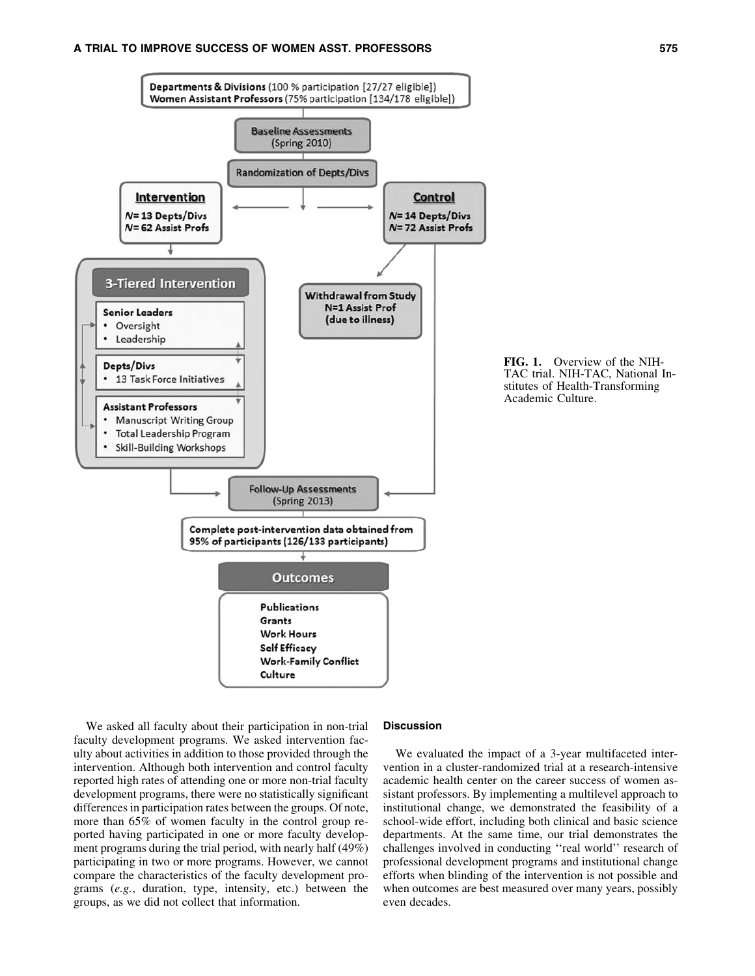## A TRIAL TO IMPROVE SUCCESS OF WOMEN ASST. PROFESSORS  $\overline{\phantom{1}}$  575



FIG. 1. Overview of the NIH-TAC trial. NIH-TAC, National Institutes of Health-Transforming Academic Culture.

We asked all faculty about their participation in non-trial faculty development programs. We asked intervention faculty about activities in addition to those provided through the intervention. Although both intervention and control faculty reported high rates of attending one or more non-trial faculty development programs, there were no statistically significant differences in participation rates between the groups. Of note, more than 65% of women faculty in the control group reported having participated in one or more faculty development programs during the trial period, with nearly half (49%) participating in two or more programs. However, we cannot compare the characteristics of the faculty development programs (*e.g.*, duration, type, intensity, etc.) between the groups, as we did not collect that information.

## Discussion

We evaluated the impact of a 3-year multifaceted intervention in a cluster-randomized trial at a research-intensive academic health center on the career success of women assistant professors. By implementing a multilevel approach to institutional change, we demonstrated the feasibility of a school-wide effort, including both clinical and basic science departments. At the same time, our trial demonstrates the challenges involved in conducting ''real world'' research of professional development programs and institutional change efforts when blinding of the intervention is not possible and when outcomes are best measured over many years, possibly even decades.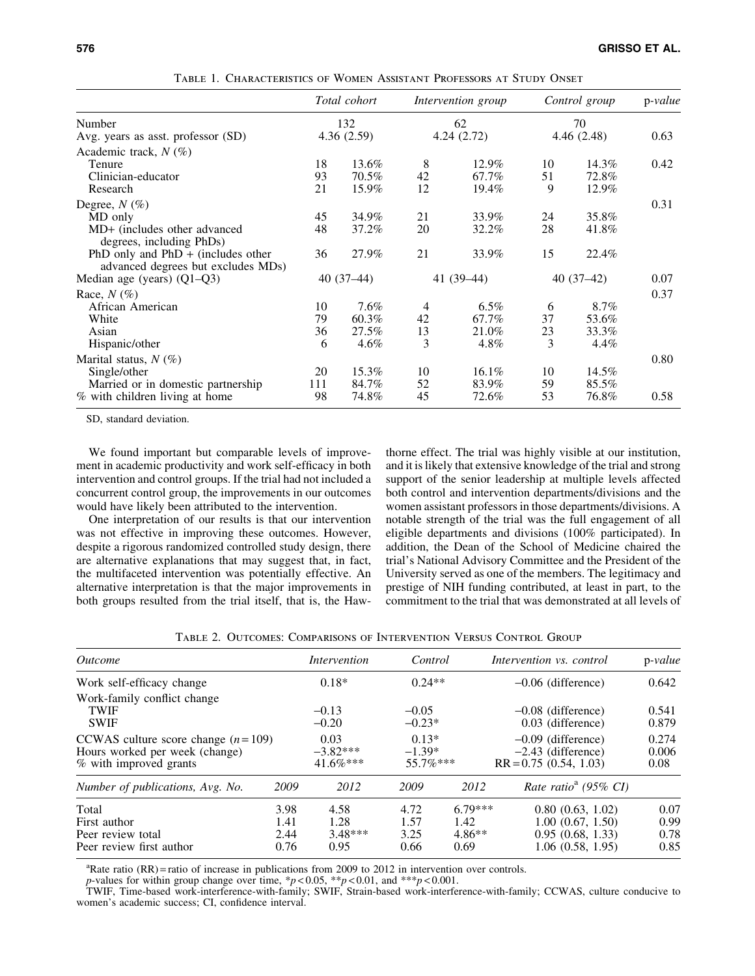|                                                                                                                                                                      | Total cohort<br>132<br>4.36(2.59) |                           | Intervention group<br>62<br>4.24(2.72) |                         | Control group<br>70<br>4.46(2.48) |                           | $p-value$<br>0.63 |
|----------------------------------------------------------------------------------------------------------------------------------------------------------------------|-----------------------------------|---------------------------|----------------------------------------|-------------------------|-----------------------------------|---------------------------|-------------------|
| Number<br>Avg. years as asst. professor (SD)                                                                                                                         |                                   |                           |                                        |                         |                                   |                           |                   |
| Academic track, $N(\%)$<br>Tenure<br>Clinician-educator<br>Research                                                                                                  | 18<br>93<br>21                    | 13.6%<br>70.5%<br>15.9%   | 8<br>42<br>12                          | 12.9%<br>67.7%<br>19.4% | 10<br>51<br>9                     | 14.3%<br>72.8%<br>12.9%   | 0.42              |
| Degree, $N(\%)$<br>MD only<br>MD+ (includes other advanced<br>degrees, including PhDs)<br>PhD only and $PhD +$ (includes other<br>advanced degrees but excludes MDs) | 45<br>48<br>36                    | 34.9%<br>37.2%<br>27.9%   | 21<br>20<br>21                         | 33.9%<br>32.2%<br>33.9% | 24<br>28<br>15                    | 35.8%<br>41.8%<br>22.4%   | 0.31              |
| Median age (years) $(Q1-Q3)$<br>Race, $N(\%)$<br>African American                                                                                                    | 10                                | $40(37-44)$<br>7.6%       | 4                                      | 41 (39–44)<br>$6.5\%$   | 6                                 | $40(37-42)$<br>$8.7\%$    | 0.07<br>0.37      |
| White<br>Asian<br>Hispanic/other                                                                                                                                     | 79<br>36<br>6                     | 60.3%<br>27.5%<br>$4.6\%$ | 42<br>13<br>3                          | 67.7%<br>21.0%<br>4.8%  | 37<br>23<br>3                     | 53.6%<br>33.3%<br>$4.4\%$ |                   |
| Marital status, $N$ (%)<br>Single/other<br>Married or in domestic partnership<br>% with children living at home                                                      | 20<br>111<br>98                   | 15.3%<br>84.7%<br>74.8%   | 10<br>52<br>45                         | 16.1%<br>83.9%<br>72.6% | 10<br>59<br>53                    | 14.5%<br>85.5%<br>76.8%   | 0.80<br>0.58      |

Table 1. Characteristics of Women Assistant Professors at Study Onset

SD, standard deviation.

We found important but comparable levels of improvement in academic productivity and work self-efficacy in both intervention and control groups. If the trial had not included a concurrent control group, the improvements in our outcomes would have likely been attributed to the intervention.

One interpretation of our results is that our intervention was not effective in improving these outcomes. However, despite a rigorous randomized controlled study design, there are alternative explanations that may suggest that, in fact, the multifaceted intervention was potentially effective. An alternative interpretation is that the major improvements in both groups resulted from the trial itself, that is, the Hawthorne effect. The trial was highly visible at our institution, and it is likely that extensive knowledge of the trial and strong support of the senior leadership at multiple levels affected both control and intervention departments/divisions and the women assistant professors in those departments/divisions. A notable strength of the trial was the full engagement of all eligible departments and divisions (100% participated). In addition, the Dean of the School of Medicine chaired the trial's National Advisory Committee and the President of the University served as one of the members. The legitimacy and prestige of NIH funding contributed, at least in part, to the commitment to the trial that was demonstrated at all levels of

Table 2. Outcomes: Comparisons of Intervention Versus Control Group

| <i><u>Outcome</u></i><br>Work self-efficacy change<br>Work-family conflict change<br><b>TWIF</b><br><b>SWIF</b><br>CCWAS culture score change $(n=109)$<br>Hours worked per week (change)<br>% with improved grants |                              | Intervention                      | Control<br>$0.24**$<br>$-0.05$<br>$-0.23*$<br>$0.13*$<br>$-1.39*$<br>$55.7\%***$ |                                       | Intervention vs. control                                                     | $p-value$<br>0.642<br>0.541<br>0.879<br>0.274<br>0.006<br>0.08 |
|---------------------------------------------------------------------------------------------------------------------------------------------------------------------------------------------------------------------|------------------------------|-----------------------------------|----------------------------------------------------------------------------------|---------------------------------------|------------------------------------------------------------------------------|----------------------------------------------------------------|
|                                                                                                                                                                                                                     |                              | $0.18*$                           |                                                                                  |                                       | $-0.06$ (difference)                                                         |                                                                |
|                                                                                                                                                                                                                     |                              | $-0.13$<br>$-0.20$                |                                                                                  |                                       | $-0.08$ (difference)<br>0.03 (difference)                                    |                                                                |
|                                                                                                                                                                                                                     |                              | 0.03<br>$-3.82***$<br>$41.6\%***$ |                                                                                  |                                       | $-0.09$ (difference)<br>$-2.43$ (difference)<br>$RR = 0.75$ (0.54, 1.03)     |                                                                |
| Number of publications, Avg. No.                                                                                                                                                                                    | 2009                         | 2012                              | 2009                                                                             | 2012                                  | Rate ratio <sup>a</sup> (95% CI)                                             |                                                                |
| Total<br>First author<br>Peer review total<br>Peer review first author                                                                                                                                              | 3.98<br>1.41<br>2.44<br>0.76 | 4.58<br>1.28<br>$3.48***$<br>0.95 | 4.72<br>1.57<br>3.25<br>0.66                                                     | $6.79***$<br>1.42<br>$4.86**$<br>0.69 | 0.80(0.63, 1.02)<br>1.00(0.67, 1.50)<br>0.95(0.68, 1.33)<br>1.06(0.58, 1.95) | 0.07<br>0.99<br>0.78<br>0.85                                   |

<sup>a</sup>Rate ratio (RR) = ratio of increase in publications from 2009 to 2012 in intervention over controls.

*p*-values for within group change over time, \**p* < 0.05, \*\**p* < 0.01, and \*\*\**p* < 0.001.

TWIF, Time-based work-interference-with-family; SWIF, Strain-based work-interference-with-family; CCWAS, culture conducive to women's academic success; CI, confidence interval.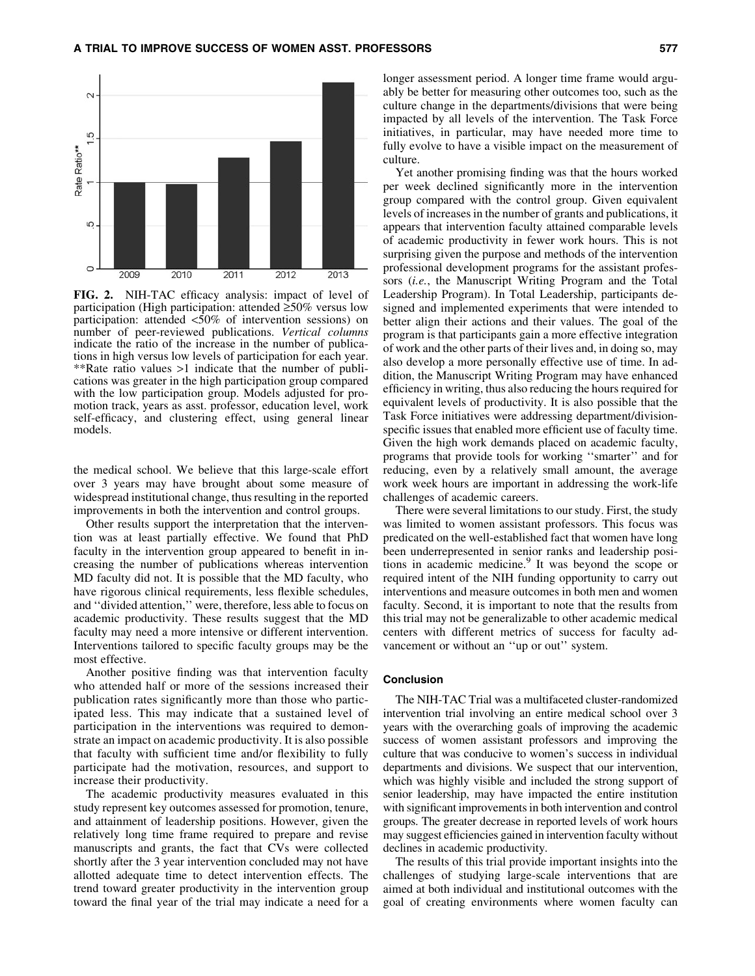

FIG. 2. NIH-TAC efficacy analysis: impact of level of participation (High participation: attended  $\geq$ 50% versus low participation: attended <50% of intervention sessions) on number of peer-reviewed publications. *Vertical columns* indicate the ratio of the increase in the number of publications in high versus low levels of participation for each year. \*\*Rate ratio values >1 indicate that the number of publications was greater in the high participation group compared with the low participation group. Models adjusted for promotion track, years as asst. professor, education level, work self-efficacy, and clustering effect, using general linear models.

the medical school. We believe that this large-scale effort over 3 years may have brought about some measure of widespread institutional change, thus resulting in the reported improvements in both the intervention and control groups.

Other results support the interpretation that the intervention was at least partially effective. We found that PhD faculty in the intervention group appeared to benefit in increasing the number of publications whereas intervention MD faculty did not. It is possible that the MD faculty, who have rigorous clinical requirements, less flexible schedules, and ''divided attention,'' were, therefore, less able to focus on academic productivity. These results suggest that the MD faculty may need a more intensive or different intervention. Interventions tailored to specific faculty groups may be the most effective.

Another positive finding was that intervention faculty who attended half or more of the sessions increased their publication rates significantly more than those who participated less. This may indicate that a sustained level of participation in the interventions was required to demonstrate an impact on academic productivity. It is also possible that faculty with sufficient time and/or flexibility to fully participate had the motivation, resources, and support to increase their productivity.

The academic productivity measures evaluated in this study represent key outcomes assessed for promotion, tenure, and attainment of leadership positions. However, given the relatively long time frame required to prepare and revise manuscripts and grants, the fact that CVs were collected shortly after the 3 year intervention concluded may not have allotted adequate time to detect intervention effects. The trend toward greater productivity in the intervention group toward the final year of the trial may indicate a need for a longer assessment period. A longer time frame would arguably be better for measuring other outcomes too, such as the culture change in the departments/divisions that were being impacted by all levels of the intervention. The Task Force initiatives, in particular, may have needed more time to fully evolve to have a visible impact on the measurement of culture.

Yet another promising finding was that the hours worked per week declined significantly more in the intervention group compared with the control group. Given equivalent levels of increases in the number of grants and publications, it appears that intervention faculty attained comparable levels of academic productivity in fewer work hours. This is not surprising given the purpose and methods of the intervention professional development programs for the assistant professors (*i.e.*, the Manuscript Writing Program and the Total Leadership Program). In Total Leadership, participants designed and implemented experiments that were intended to better align their actions and their values. The goal of the program is that participants gain a more effective integration of work and the other parts of their lives and, in doing so, may also develop a more personally effective use of time. In addition, the Manuscript Writing Program may have enhanced efficiency in writing, thus also reducing the hours required for equivalent levels of productivity. It is also possible that the Task Force initiatives were addressing department/divisionspecific issues that enabled more efficient use of faculty time. Given the high work demands placed on academic faculty, programs that provide tools for working ''smarter'' and for reducing, even by a relatively small amount, the average work week hours are important in addressing the work-life challenges of academic careers.

There were several limitations to our study. First, the study was limited to women assistant professors. This focus was predicated on the well-established fact that women have long been underrepresented in senior ranks and leadership positions in academic medicine.<sup>9</sup> It was beyond the scope or required intent of the NIH funding opportunity to carry out interventions and measure outcomes in both men and women faculty. Second, it is important to note that the results from this trial may not be generalizable to other academic medical centers with different metrics of success for faculty advancement or without an ''up or out'' system.

## Conclusion

The NIH-TAC Trial was a multifaceted cluster-randomized intervention trial involving an entire medical school over 3 years with the overarching goals of improving the academic success of women assistant professors and improving the culture that was conducive to women's success in individual departments and divisions. We suspect that our intervention, which was highly visible and included the strong support of senior leadership, may have impacted the entire institution with significant improvements in both intervention and control groups. The greater decrease in reported levels of work hours may suggest efficiencies gained in intervention faculty without declines in academic productivity.

The results of this trial provide important insights into the challenges of studying large-scale interventions that are aimed at both individual and institutional outcomes with the goal of creating environments where women faculty can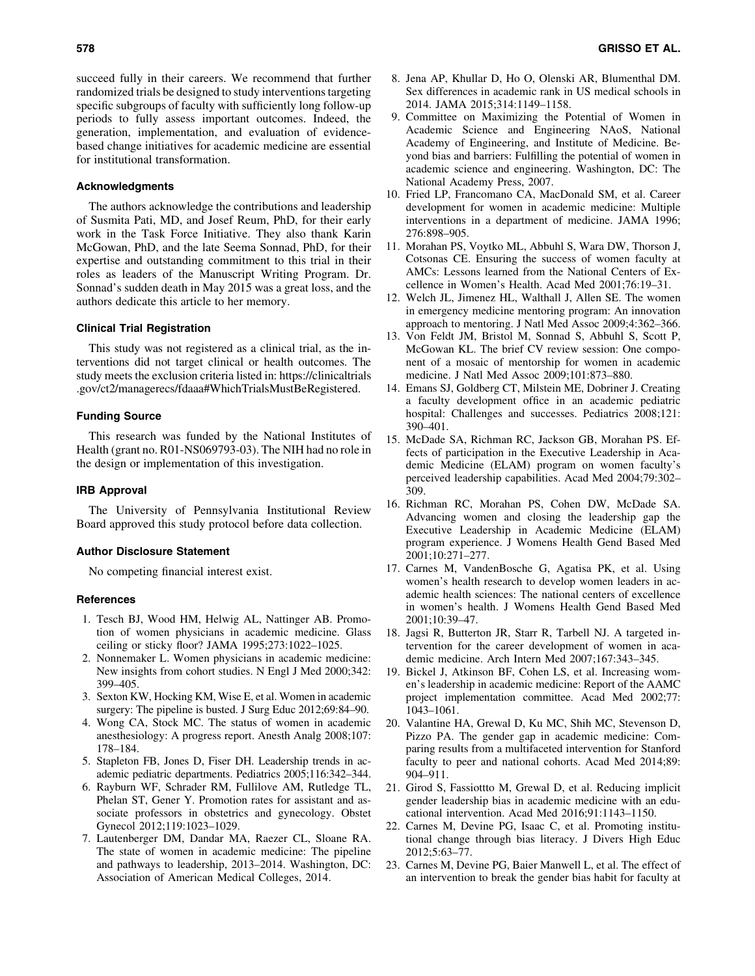succeed fully in their careers. We recommend that further randomized trials be designed to study interventions targeting specific subgroups of faculty with sufficiently long follow-up periods to fully assess important outcomes. Indeed, the generation, implementation, and evaluation of evidencebased change initiatives for academic medicine are essential for institutional transformation.

## Acknowledgments

The authors acknowledge the contributions and leadership of Susmita Pati, MD, and Josef Reum, PhD, for their early work in the Task Force Initiative. They also thank Karin McGowan, PhD, and the late Seema Sonnad, PhD, for their expertise and outstanding commitment to this trial in their roles as leaders of the Manuscript Writing Program. Dr. Sonnad's sudden death in May 2015 was a great loss, and the authors dedicate this article to her memory.

#### Clinical Trial Registration

This study was not registered as a clinical trial, as the interventions did not target clinical or health outcomes. The study meets the exclusion criteria listed in: https://clinicaltrials .gov/ct2/managerecs/fdaaa#WhichTrialsMustBeRegistered.

## Funding Source

This research was funded by the National Institutes of Health (grant no. R01-NS069793-03). The NIH had no role in the design or implementation of this investigation.

#### IRB Approval

The University of Pennsylvania Institutional Review Board approved this study protocol before data collection.

#### Author Disclosure Statement

No competing financial interest exist.

#### References

- 1. Tesch BJ, Wood HM, Helwig AL, Nattinger AB. Promotion of women physicians in academic medicine. Glass ceiling or sticky floor? JAMA 1995;273:1022–1025.
- 2. Nonnemaker L. Women physicians in academic medicine: New insights from cohort studies. N Engl J Med 2000;342: 399–405.
- 3. Sexton KW, Hocking KM, Wise E, et al. Women in academic surgery: The pipeline is busted. J Surg Educ 2012;69:84–90.
- 4. Wong CA, Stock MC. The status of women in academic anesthesiology: A progress report. Anesth Analg 2008;107: 178–184.
- 5. Stapleton FB, Jones D, Fiser DH. Leadership trends in academic pediatric departments. Pediatrics 2005;116:342–344.
- 6. Rayburn WF, Schrader RM, Fullilove AM, Rutledge TL, Phelan ST, Gener Y. Promotion rates for assistant and associate professors in obstetrics and gynecology. Obstet Gynecol 2012;119:1023–1029.
- 7. Lautenberger DM, Dandar MA, Raezer CL, Sloane RA. The state of women in academic medicine: The pipeline and pathways to leadership, 2013–2014. Washington, DC: Association of American Medical Colleges, 2014.
- 8. Jena AP, Khullar D, Ho O, Olenski AR, Blumenthal DM. Sex differences in academic rank in US medical schools in 2014. JAMA 2015;314:1149–1158.
- 9. Committee on Maximizing the Potential of Women in Academic Science and Engineering NAoS, National Academy of Engineering, and Institute of Medicine. Beyond bias and barriers: Fulfilling the potential of women in academic science and engineering. Washington, DC: The National Academy Press, 2007.
- 10. Fried LP, Francomano CA, MacDonald SM, et al. Career development for women in academic medicine: Multiple interventions in a department of medicine. JAMA 1996; 276:898–905.
- 11. Morahan PS, Voytko ML, Abbuhl S, Wara DW, Thorson J, Cotsonas CE. Ensuring the success of women faculty at AMCs: Lessons learned from the National Centers of Excellence in Women's Health. Acad Med 2001;76:19–31.
- 12. Welch JL, Jimenez HL, Walthall J, Allen SE. The women in emergency medicine mentoring program: An innovation approach to mentoring. J Natl Med Assoc 2009;4:362–366.
- 13. Von Feldt JM, Bristol M, Sonnad S, Abbuhl S, Scott P, McGowan KL. The brief CV review session: One component of a mosaic of mentorship for women in academic medicine. J Natl Med Assoc 2009;101:873–880.
- 14. Emans SJ, Goldberg CT, Milstein ME, Dobriner J. Creating a faculty development office in an academic pediatric hospital: Challenges and successes. Pediatrics 2008;121: 390–401.
- 15. McDade SA, Richman RC, Jackson GB, Morahan PS. Effects of participation in the Executive Leadership in Academic Medicine (ELAM) program on women faculty's perceived leadership capabilities. Acad Med 2004;79:302– 309.
- 16. Richman RC, Morahan PS, Cohen DW, McDade SA. Advancing women and closing the leadership gap the Executive Leadership in Academic Medicine (ELAM) program experience. J Womens Health Gend Based Med 2001;10:271–277.
- 17. Carnes M, VandenBosche G, Agatisa PK, et al. Using women's health research to develop women leaders in academic health sciences: The national centers of excellence in women's health. J Womens Health Gend Based Med 2001;10:39–47.
- 18. Jagsi R, Butterton JR, Starr R, Tarbell NJ. A targeted intervention for the career development of women in academic medicine. Arch Intern Med 2007;167:343–345.
- 19. Bickel J, Atkinson BF, Cohen LS, et al. Increasing women's leadership in academic medicine: Report of the AAMC project implementation committee. Acad Med 2002;77: 1043–1061.
- 20. Valantine HA, Grewal D, Ku MC, Shih MC, Stevenson D, Pizzo PA. The gender gap in academic medicine: Comparing results from a multifaceted intervention for Stanford faculty to peer and national cohorts. Acad Med 2014;89: 904–911.
- 21. Girod S, Fassiottto M, Grewal D, et al. Reducing implicit gender leadership bias in academic medicine with an educational intervention. Acad Med 2016;91:1143–1150.
- 22. Carnes M, Devine PG, Isaac C, et al. Promoting institutional change through bias literacy. J Divers High Educ 2012;5:63–77.
- 23. Carnes M, Devine PG, Baier Manwell L, et al. The effect of an intervention to break the gender bias habit for faculty at